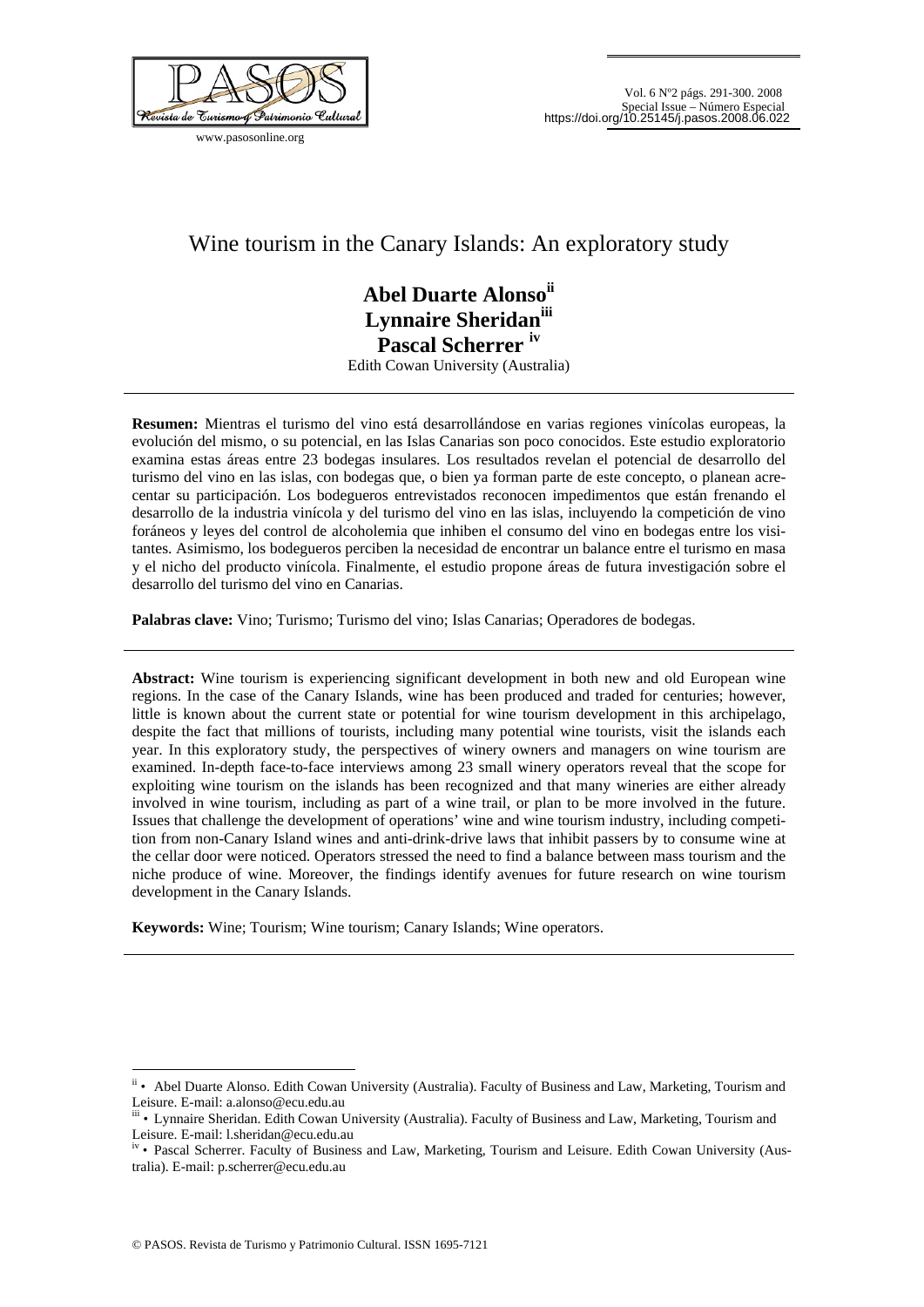

www.pasosonline.org

# Wine tourism in the Canary Islands: An exploratory study

# **Abel Duarte Alonsoii Lynnaire Sheridaniii Pascal Scherrer iv** Edith Cowan University (Australia)

**Resumen:** Mientras el turismo del vino está desarrollándose en varias regiones vinícolas europeas, la evolución del mismo, o su potencial, en las Islas Canarias son poco conocidos. Este estudio exploratorio examina estas áreas entre 23 bodegas insulares. Los resultados revelan el potencial de desarrollo del turismo del vino en las islas, con bodegas que, o bien ya forman parte de este concepto, o planean acrecentar su participación. Los bodegueros entrevistados reconocen impedimentos que están frenando el desarrollo de la industria vinícola y del turismo del vino en las islas, incluyendo la competición de vino foráneos y leyes del control de alcoholemia que inhiben el consumo del vino en bodegas entre los visitantes. Asimismo, los bodegueros perciben la necesidad de encontrar un balance entre el turismo en masa y el nicho del producto vinícola. Finalmente, el estudio propone áreas de futura investigación sobre el desarrollo del turismo del vino en Canarias.

**Palabras clave:** Vino; Turismo; Turismo del vino; Islas Canarias; Operadores de bodegas.

**Abstract:** Wine tourism is experiencing significant development in both new and old European wine regions. In the case of the Canary Islands, wine has been produced and traded for centuries; however, little is known about the current state or potential for wine tourism development in this archipelago, despite the fact that millions of tourists, including many potential wine tourists, visit the islands each year. In this exploratory study, the perspectives of winery owners and managers on wine tourism are examined. In-depth face-to-face interviews among 23 small winery operators reveal that the scope for exploiting wine tourism on the islands has been recognized and that many wineries are either already involved in wine tourism, including as part of a wine trail, or plan to be more involved in the future. Issues that challenge the development of operations' wine and wine tourism industry, including competition from non-Canary Island wines and anti-drink-drive laws that inhibit passers by to consume wine at the cellar door were noticed. Operators stressed the need to find a balance between mass tourism and the niche produce of wine. Moreover, the findings identify avenues for future research on wine tourism development in the Canary Islands.

**Keywords:** Wine; Tourism; Wine tourism; Canary Islands; Wine operators.

<u>.</u>

ii • Abel Duarte Alonso. Edith Cowan University (Australia). Faculty of Business and Law, Marketing, Tourism and Leisure. E-mail: a.alonso@ecu.edu.au

iii • Lynnaire Sheridan. Edith Cowan University (Australia). Faculty of Business and Law, Marketing, Tourism and Leisure. E-mail: l.sheridan@ecu.edu.au

iv • Pascal Scherrer. Faculty of Business and Law, Marketing, Tourism and Leisure. Edith Cowan University (Australia). E-mail: p.scherrer@ecu.edu.au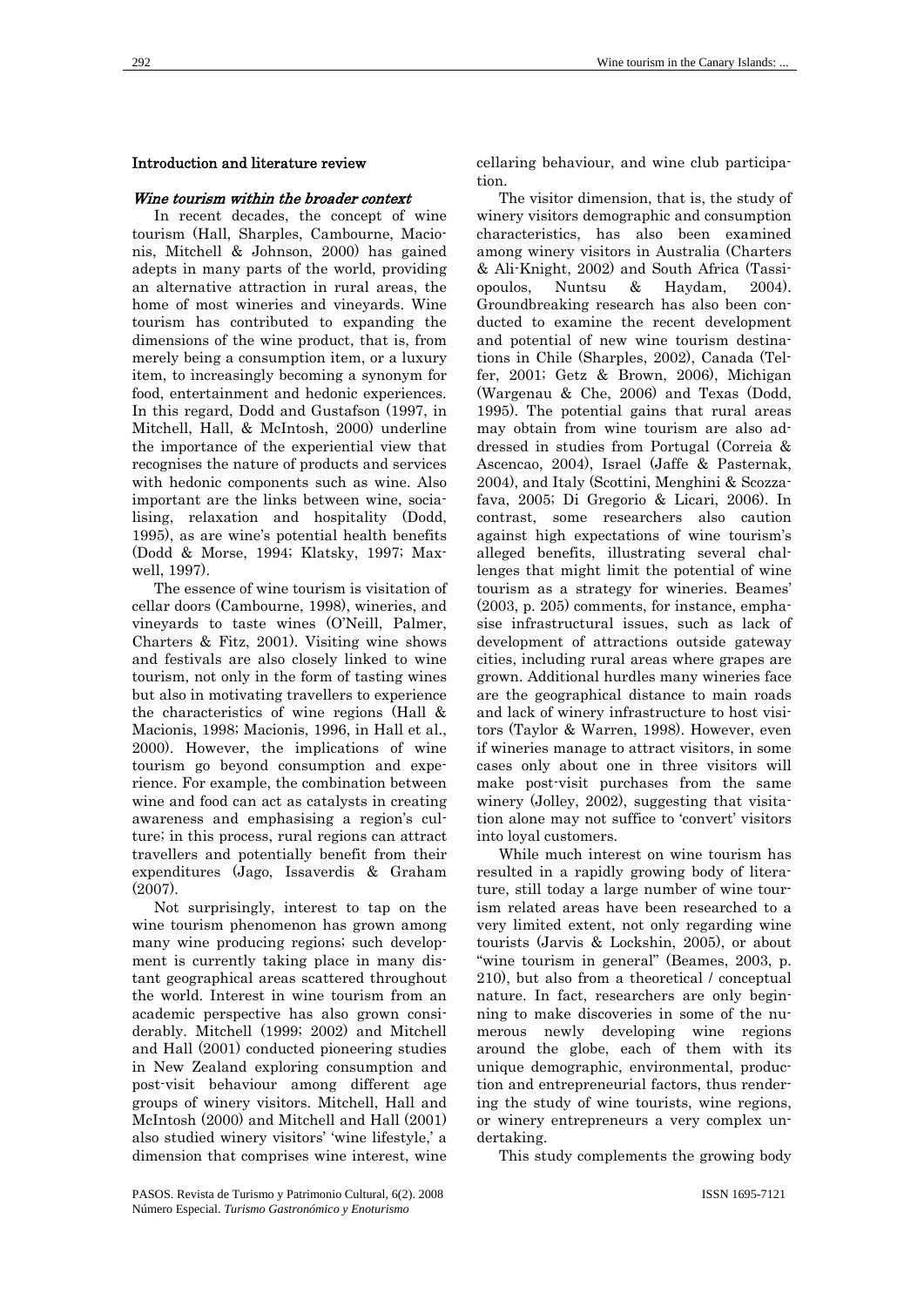#### Introduction and literature review

#### Wine tourism within the broader context

In recent decades, the concept of wine tourism (Hall, Sharples, Cambourne, Macionis, Mitchell & Johnson, 2000) has gained adepts in many parts of the world, providing an alternative attraction in rural areas, the home of most wineries and vineyards. Wine tourism has contributed to expanding the dimensions of the wine product, that is, from merely being a consumption item, or a luxury item, to increasingly becoming a synonym for food, entertainment and hedonic experiences. In this regard, Dodd and Gustafson (1997, in Mitchell, Hall, & McIntosh, 2000) underline the importance of the experiential view that recognises the nature of products and services with hedonic components such as wine. Also important are the links between wine, socialising, relaxation and hospitality (Dodd, 1995), as are wine's potential health benefits (Dodd & Morse, 1994; Klatsky, 1997; Maxwell, 1997).

The essence of wine tourism is visitation of cellar doors (Cambourne, 1998), wineries, and vineyards to taste wines (O'Neill, Palmer, Charters & Fitz, 2001). Visiting wine shows and festivals are also closely linked to wine tourism, not only in the form of tasting wines but also in motivating travellers to experience the characteristics of wine regions (Hall & Macionis, 1998; Macionis, 1996, in Hall et al., 2000). However, the implications of wine tourism go beyond consumption and experience. For example, the combination between wine and food can act as catalysts in creating awareness and emphasising a region's culture; in this process, rural regions can attract travellers and potentially benefit from their expenditures (Jago, Issaverdis & Graham (2007).

Not surprisingly, interest to tap on the wine tourism phenomenon has grown among many wine producing regions; such development is currently taking place in many distant geographical areas scattered throughout the world. Interest in wine tourism from an academic perspective has also grown considerably. Mitchell (1999; 2002) and Mitchell and Hall (2001) conducted pioneering studies in New Zealand exploring consumption and post-visit behaviour among different age groups of winery visitors. Mitchell, Hall and McIntosh (2000) and Mitchell and Hall (2001) also studied winery visitors' 'wine lifestyle,' a dimension that comprises wine interest, wine

cellaring behaviour, and wine club participation.

The visitor dimension, that is, the study of winery visitors demographic and consumption characteristics, has also been examined among winery visitors in Australia (Charters & Ali-Knight, 2002) and South Africa (Tassiopoulos, Nuntsu & Haydam, 2004). Groundbreaking research has also been conducted to examine the recent development and potential of new wine tourism destinations in Chile (Sharples, 2002), Canada (Telfer, 2001; Getz & Brown, 2006), Michigan (Wargenau & Che, 2006) and Texas (Dodd, 1995). The potential gains that rural areas may obtain from wine tourism are also addressed in studies from Portugal (Correia & Ascencao, 2004), Israel (Jaffe & Pasternak, 2004), and Italy (Scottini, Menghini & Scozzafava, 2005; Di Gregorio & Licari, 2006). In contrast, some researchers also caution against high expectations of wine tourism's alleged benefits, illustrating several challenges that might limit the potential of wine tourism as a strategy for wineries. Beames' (2003, p. 205) comments, for instance, emphasise infrastructural issues, such as lack of development of attractions outside gateway cities, including rural areas where grapes are grown. Additional hurdles many wineries face are the geographical distance to main roads and lack of winery infrastructure to host visitors (Taylor & Warren, 1998). However, even if wineries manage to attract visitors, in some cases only about one in three visitors will make post-visit purchases from the same winery (Jolley, 2002), suggesting that visitation alone may not suffice to 'convert' visitors into loyal customers.

While much interest on wine tourism has resulted in a rapidly growing body of literature, still today a large number of wine tourism related areas have been researched to a very limited extent, not only regarding wine tourists (Jarvis & Lockshin, 2005), or about "wine tourism in general" (Beames, 2003, p. 210), but also from a theoretical / conceptual nature. In fact, researchers are only beginning to make discoveries in some of the numerous newly developing wine regions around the globe, each of them with its unique demographic, environmental, production and entrepreneurial factors, thus rendering the study of wine tourists, wine regions, or winery entrepreneurs a very complex undertaking.

This study complements the growing body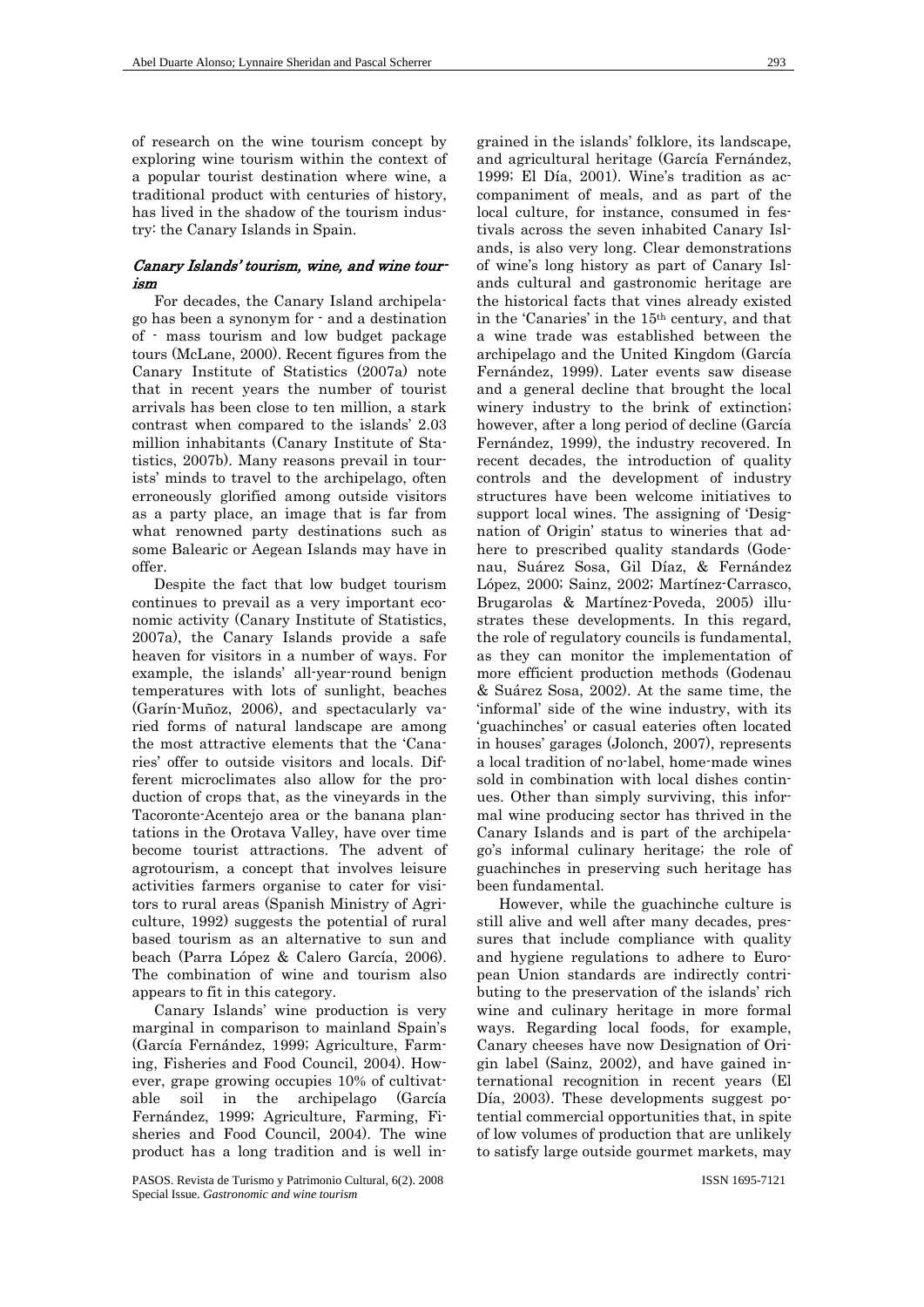of research on the wine tourism concept by exploring wine tourism within the context of a popular tourist destination where wine, a traditional product with centuries of history, has lived in the shadow of the tourism industry: the Canary Islands in Spain.

# Canary Islands' tourism, wine, and wine tourism

For decades, the Canary Island archipelago has been a synonym for - and a destination of - mass tourism and low budget package tours (McLane, 2000). Recent figures from the Canary Institute of Statistics (2007a) note that in recent years the number of tourist arrivals has been close to ten million, a stark contrast when compared to the islands' 2.03 million inhabitants (Canary Institute of Statistics, 2007b). Many reasons prevail in tourists' minds to travel to the archipelago, often erroneously glorified among outside visitors as a party place, an image that is far from what renowned party destinations such as some Balearic or Aegean Islands may have in offer.

Despite the fact that low budget tourism continues to prevail as a very important economic activity (Canary Institute of Statistics, 2007a), the Canary Islands provide a safe heaven for visitors in a number of ways. For example, the islands' all-year-round benign temperatures with lots of sunlight, beaches (Garín-Muñoz, 2006), and spectacularly varied forms of natural landscape are among the most attractive elements that the 'Canaries' offer to outside visitors and locals. Different microclimates also allow for the production of crops that, as the vineyards in the Tacoronte-Acentejo area or the banana plantations in the Orotava Valley, have over time become tourist attractions. The advent of agrotourism, a concept that involves leisure activities farmers organise to cater for visitors to rural areas (Spanish Ministry of Agriculture, 1992) suggests the potential of rural based tourism as an alternative to sun and beach (Parra López & Calero García, 2006). The combination of wine and tourism also appears to fit in this category.

Canary Islands' wine production is very marginal in comparison to mainland Spain's (García Fernández, 1999; Agriculture, Farming, Fisheries and Food Council, 2004). However, grape growing occupies 10% of cultivatable soil in the archipelago (García Fernández, 1999; Agriculture, Farming, Fisheries and Food Council, 2004). The wine product has a long tradition and is well in-

grained in the islands' folklore, its landscape, and agricultural heritage (García Fernández, 1999; El Día, 2001). Wine's tradition as accompaniment of meals, and as part of the local culture, for instance, consumed in festivals across the seven inhabited Canary Islands, is also very long. Clear demonstrations of wine's long history as part of Canary Islands cultural and gastronomic heritage are the historical facts that vines already existed in the 'Canaries' in the 15th century, and that a wine trade was established between the archipelago and the United Kingdom (García Fernández, 1999). Later events saw disease and a general decline that brought the local winery industry to the brink of extinction; however, after a long period of decline (García Fernández, 1999), the industry recovered. In recent decades, the introduction of quality controls and the development of industry structures have been welcome initiatives to support local wines. The assigning of 'Designation of Origin' status to wineries that adhere to prescribed quality standards (Godenau, Suárez Sosa, Gil Díaz, & Fernández López, 2000; Sainz, 2002; Martínez-Carrasco, Brugarolas & Martínez-Poveda, 2005) illustrates these developments. In this regard, the role of regulatory councils is fundamental, as they can monitor the implementation of more efficient production methods (Godenau & Suárez Sosa, 2002). At the same time, the 'informal' side of the wine industry, with its 'guachinches' or casual eateries often located in houses' garages (Jolonch, 2007), represents a local tradition of no-label, home-made wines sold in combination with local dishes continues. Other than simply surviving, this informal wine producing sector has thrived in the Canary Islands and is part of the archipelago's informal culinary heritage; the role of guachinches in preserving such heritage has been fundamental.

However, while the guachinche culture is still alive and well after many decades, pressures that include compliance with quality and hygiene regulations to adhere to European Union standards are indirectly contributing to the preservation of the islands' rich wine and culinary heritage in more formal ways. Regarding local foods, for example, Canary cheeses have now Designation of Origin label (Sainz, 2002), and have gained international recognition in recent years (El Día, 2003). These developments suggest potential commercial opportunities that, in spite of low volumes of production that are unlikely to satisfy large outside gourmet markets, may

PASOS. Revista de Turismo y Patrimonio Cultural, 6(2). 2008 Special Issue. *Gastronomic and wine tourism*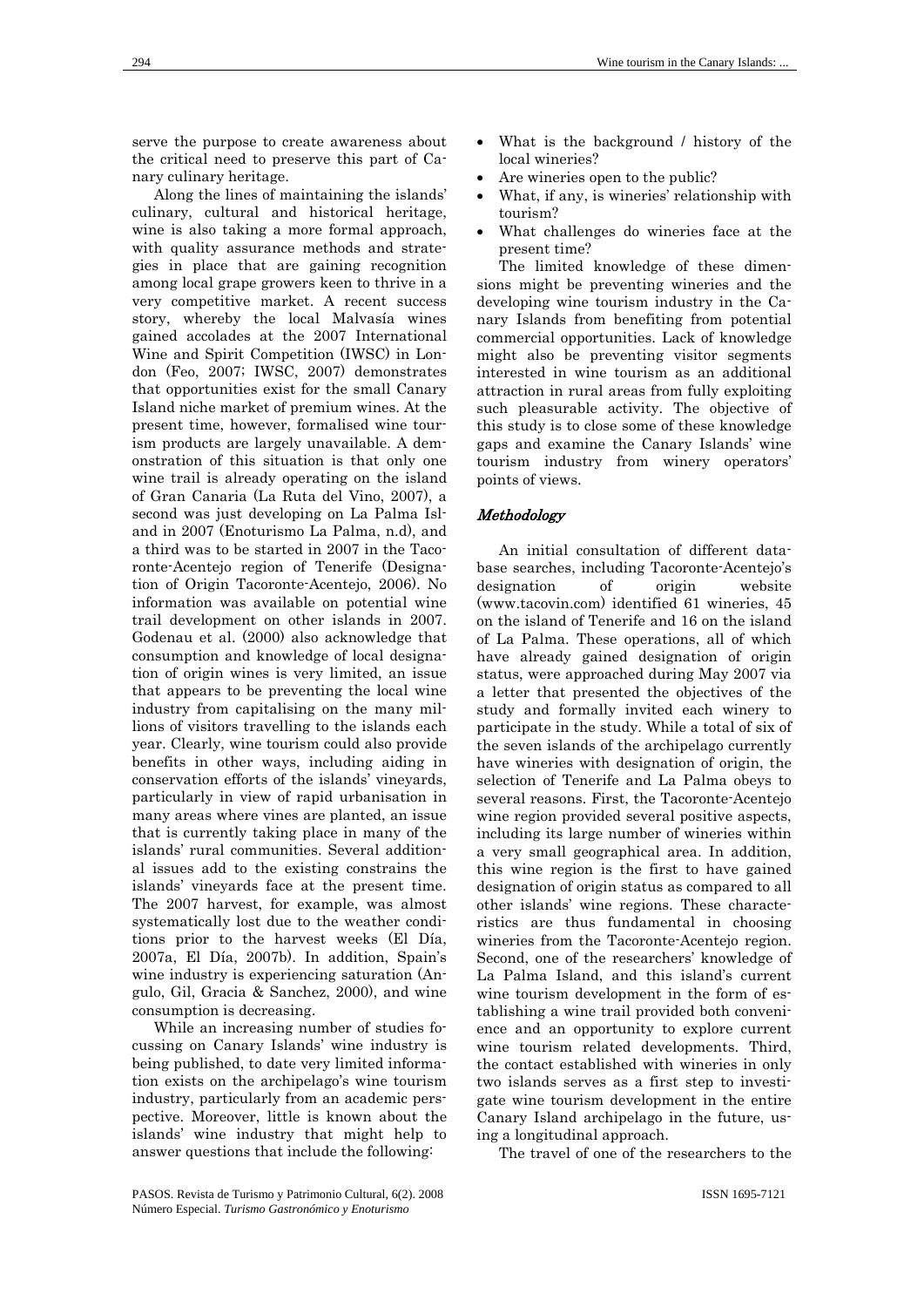serve the purpose to create awareness about the critical need to preserve this part of Canary culinary heritage.

Along the lines of maintaining the islands' culinary, cultural and historical heritage, wine is also taking a more formal approach, with quality assurance methods and strategies in place that are gaining recognition among local grape growers keen to thrive in a very competitive market. A recent success story, whereby the local Malvasía wines gained accolades at the 2007 International Wine and Spirit Competition (IWSC) in London (Feo, 2007; IWSC, 2007) demonstrates that opportunities exist for the small Canary Island niche market of premium wines. At the present time, however, formalised wine tourism products are largely unavailable. A demonstration of this situation is that only one wine trail is already operating on the island of Gran Canaria (La Ruta del Vino, 2007), a second was just developing on La Palma Island in 2007 (Enoturismo La Palma, n.d), and a third was to be started in 2007 in the Tacoronte-Acentejo region of Tenerife (Designation of Origin Tacoronte-Acentejo, 2006). No information was available on potential wine trail development on other islands in 2007. Godenau et al. (2000) also acknowledge that consumption and knowledge of local designation of origin wines is very limited, an issue that appears to be preventing the local wine industry from capitalising on the many millions of visitors travelling to the islands each year. Clearly, wine tourism could also provide benefits in other ways, including aiding in conservation efforts of the islands' vineyards, particularly in view of rapid urbanisation in many areas where vines are planted, an issue that is currently taking place in many of the islands' rural communities. Several additional issues add to the existing constrains the islands' vineyards face at the present time. The 2007 harvest, for example, was almost systematically lost due to the weather conditions prior to the harvest weeks (El Día, 2007a, El Día, 2007b). In addition, Spain's wine industry is experiencing saturation (Angulo, Gil, Gracia & Sanchez, 2000), and wine consumption is decreasing.

While an increasing number of studies focussing on Canary Islands' wine industry is being published, to date very limited information exists on the archipelago's wine tourism industry, particularly from an academic perspective. Moreover, little is known about the islands' wine industry that might help to answer questions that include the following:

- What is the background / history of the local wineries?
- Are wineries open to the public?
- What, if any, is wineries' relationship with tourism?
- What challenges do wineries face at the present time?

The limited knowledge of these dimensions might be preventing wineries and the developing wine tourism industry in the Canary Islands from benefiting from potential commercial opportunities. Lack of knowledge might also be preventing visitor segments interested in wine tourism as an additional attraction in rural areas from fully exploiting such pleasurable activity. The objective of this study is to close some of these knowledge gaps and examine the Canary Islands' wine tourism industry from winery operators' points of views.

# Methodology

An initial consultation of different database searches, including Tacoronte-Acentejo's designation of origin website (www.tacovin.com) identified 61 wineries, 45 on the island of Tenerife and 16 on the island of La Palma. These operations, all of which have already gained designation of origin status, were approached during May 2007 via a letter that presented the objectives of the study and formally invited each winery to participate in the study. While a total of six of the seven islands of the archipelago currently have wineries with designation of origin, the selection of Tenerife and La Palma obeys to several reasons. First, the Tacoronte-Acentejo wine region provided several positive aspects, including its large number of wineries within a very small geographical area. In addition, this wine region is the first to have gained designation of origin status as compared to all other islands' wine regions. These characteristics are thus fundamental in choosing wineries from the Tacoronte-Acentejo region. Second, one of the researchers' knowledge of La Palma Island, and this island's current wine tourism development in the form of establishing a wine trail provided both convenience and an opportunity to explore current wine tourism related developments. Third, the contact established with wineries in only two islands serves as a first step to investigate wine tourism development in the entire Canary Island archipelago in the future, using a longitudinal approach.

The travel of one of the researchers to the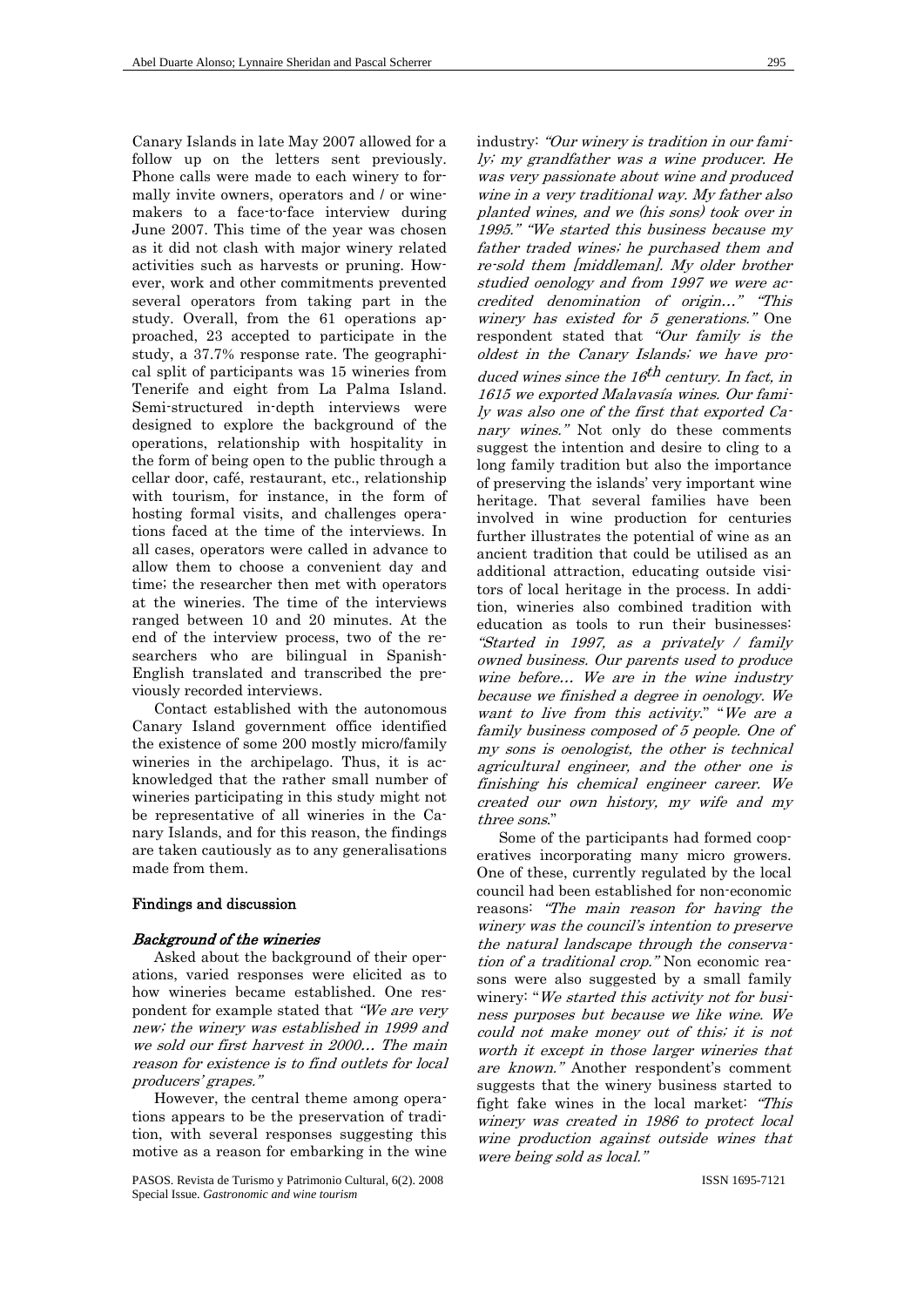Canary Islands in late May 2007 allowed for a follow up on the letters sent previously. Phone calls were made to each winery to formally invite owners, operators and / or winemakers to a face-to-face interview during June 2007. This time of the year was chosen as it did not clash with major winery related activities such as harvests or pruning. However, work and other commitments prevented several operators from taking part in the study. Overall, from the 61 operations approached, 23 accepted to participate in the study, a 37.7% response rate. The geographical split of participants was 15 wineries from Tenerife and eight from La Palma Island. Semi-structured in-depth interviews were designed to explore the background of the operations, relationship with hospitality in the form of being open to the public through a cellar door, café, restaurant, etc., relationship with tourism, for instance, in the form of hosting formal visits, and challenges operations faced at the time of the interviews. In all cases, operators were called in advance to allow them to choose a convenient day and time; the researcher then met with operators at the wineries. The time of the interviews ranged between 10 and 20 minutes. At the end of the interview process, two of the researchers who are bilingual in Spanish-English translated and transcribed the previously recorded interviews.

Contact established with the autonomous Canary Island government office identified the existence of some 200 mostly micro/family wineries in the archipelago. Thus, it is acknowledged that the rather small number of wineries participating in this study might not be representative of all wineries in the Canary Islands, and for this reason, the findings are taken cautiously as to any generalisations made from them.

# Findings and discussion

#### Background of the wineries

Asked about the background of their operations, varied responses were elicited as to how wineries became established. One respondent for example stated that "We are very new; the winery was established in 1999 and we sold our first harvest in 2000… The main reason for existence is to find outlets for local producers' grapes."

However, the central theme among operations appears to be the preservation of tradition, with several responses suggesting this motive as a reason for embarking in the wine

PASOS. Revista de Turismo y Patrimonio Cultural, 6(2). 2008 Special Issue. *Gastronomic and wine tourism*

industry: "Our winery is tradition in our family; my grandfather was a wine producer. He was very passionate about wine and produced wine in a very traditional way. My father also planted wines, and we (his sons) took over in 1995." "We started this business because my father traded wines; he purchased them and re-sold them [middleman]. My older brother studied oenology and from 1997 we were accredited denomination of origin…" "This winery has existed for 5 generations." One respondent stated that "Our family is the oldest in the Canary Islands; we have produced wines since the  $16<sup>th</sup>$  century. In fact, in 1615 we exported Malavasía wines. Our family was also one of the first that exported Canary wines." Not only do these comments suggest the intention and desire to cling to a long family tradition but also the importance of preserving the islands' very important wine heritage. That several families have been involved in wine production for centuries further illustrates the potential of wine as an ancient tradition that could be utilised as an additional attraction, educating outside visitors of local heritage in the process. In addition, wineries also combined tradition with education as tools to run their businesses: "Started in 1997, as a privately / family owned business. Our parents used to produce wine before… We are in the wine industry because we finished a degree in oenology. We want to live from this activity." "We are a

family business composed of 5 people. One of my sons is oenologist, the other is technical agricultural engineer, and the other one is finishing his chemical engineer career. We created our own history, my wife and my three sons."

Some of the participants had formed cooperatives incorporating many micro growers. One of these, currently regulated by the local council had been established for non-economic reasons: "The main reason for having the winery was the council's intention to preserve the natural landscape through the conservation of a traditional crop." Non economic reasons were also suggested by a small family winery: "We started this activity not for business purposes but because we like wine. We could not make money out of this; it is not worth it except in those larger wineries that are known." Another respondent's comment suggests that the winery business started to fight fake wines in the local market: "This winery was created in 1986 to protect local wine production against outside wines that were being sold as local."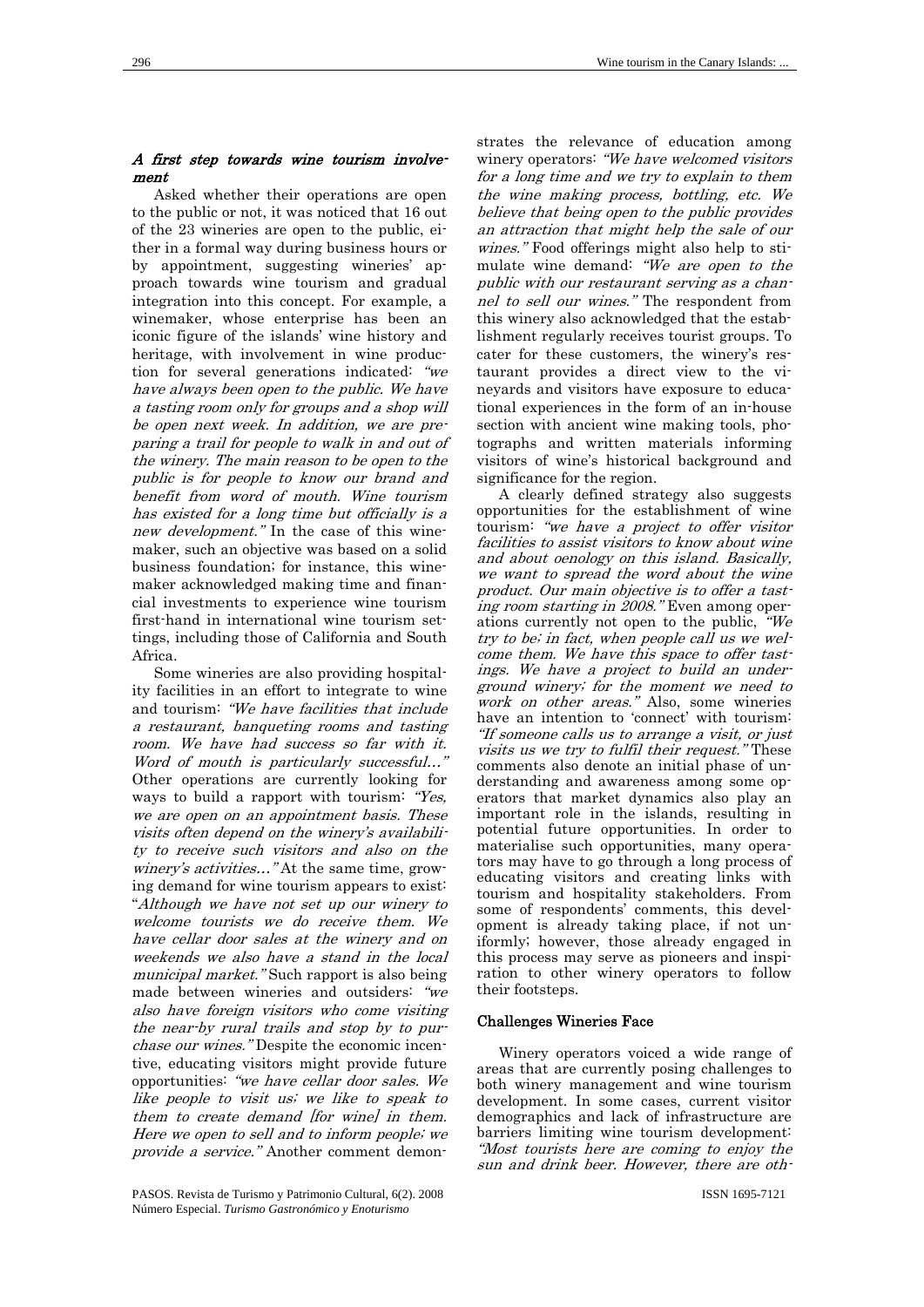# A first step towards wine tourism involvement

Asked whether their operations are open to the public or not, it was noticed that 16 out of the 23 wineries are open to the public, either in a formal way during business hours or by appointment, suggesting wineries' approach towards wine tourism and gradual integration into this concept. For example, a winemaker, whose enterprise has been an iconic figure of the islands' wine history and heritage, with involvement in wine production for several generations indicated: "we have always been open to the public. We have a tasting room only for groups and a shop will be open next week. In addition, we are preparing a trail for people to walk in and out of the winery. The main reason to be open to the public is for people to know our brand and benefit from word of mouth. Wine tourism has existed for a long time but officially is a new development." In the case of this winemaker, such an objective was based on a solid business foundation; for instance, this winemaker acknowledged making time and financial investments to experience wine tourism first-hand in international wine tourism settings, including those of California and South Africa.

Some wineries are also providing hospitality facilities in an effort to integrate to wine and tourism: "We have facilities that include a restaurant, banqueting rooms and tasting room. We have had success so far with it. Word of mouth is particularly successful…" Other operations are currently looking for ways to build a rapport with tourism: "Yes, we are open on an appointment basis. These visits often depend on the winery's availability to receive such visitors and also on the winery's activities..." At the same time, growing demand for wine tourism appears to exist: "Although we have not set up our winery to welcome tourists we do receive them. We have cellar door sales at the winery and on weekends we also have a stand in the local municipal market." Such rapport is also being made between wineries and outsiders: "we also have foreign visitors who come visiting the near-by rural trails and stop by to purchase our wines." Despite the economic incentive, educating visitors might provide future opportunities: "we have cellar door sales. We like people to visit us; we like to speak to them to create demand [for wine] in them. Here we open to sell and to inform people; we provide a service." Another comment demon-

strates the relevance of education among winery operators: "We have welcomed visitors for a long time and we try to explain to them the wine making process, bottling, etc. We believe that being open to the public provides an attraction that might help the sale of our wines." Food offerings might also help to stimulate wine demand: "We are open to the public with our restaurant serving as a channel to sell our wines." The respondent from this winery also acknowledged that the establishment regularly receives tourist groups. To cater for these customers, the winery's restaurant provides a direct view to the vineyards and visitors have exposure to educational experiences in the form of an in-house section with ancient wine making tools, photographs and written materials informing visitors of wine's historical background and significance for the region.

A clearly defined strategy also suggests opportunities for the establishment of wine tourism: "we have a project to offer visitor facilities to assist visitors to know about wine and about oenology on this island. Basically, we want to spread the word about the wine product. Our main objective is to offer a tasting room starting in 2008." Even among operations currently not open to the public, "We try to be; in fact, when people call us we welcome them. We have this space to offer tastings. We have a project to build an underground winery; for the moment we need to work on other areas." Also, some wineries have an intention to 'connect' with tourism: "If someone calls us to arrange a visit, or just visits us we try to fulfil their request." These comments also denote an initial phase of understanding and awareness among some operators that market dynamics also play an important role in the islands, resulting in potential future opportunities. In order to materialise such opportunities, many operators may have to go through a long process of educating visitors and creating links with tourism and hospitality stakeholders. From some of respondents' comments, this development is already taking place, if not uniformly; however, those already engaged in this process may serve as pioneers and inspiration to other winery operators to follow their footsteps.

### Challenges Wineries Face

Winery operators voiced a wide range of areas that are currently posing challenges to both winery management and wine tourism development. In some cases, current visitor demographics and lack of infrastructure are barriers limiting wine tourism development: "Most tourists here are coming to enjoy the sun and drink beer. However, there are oth-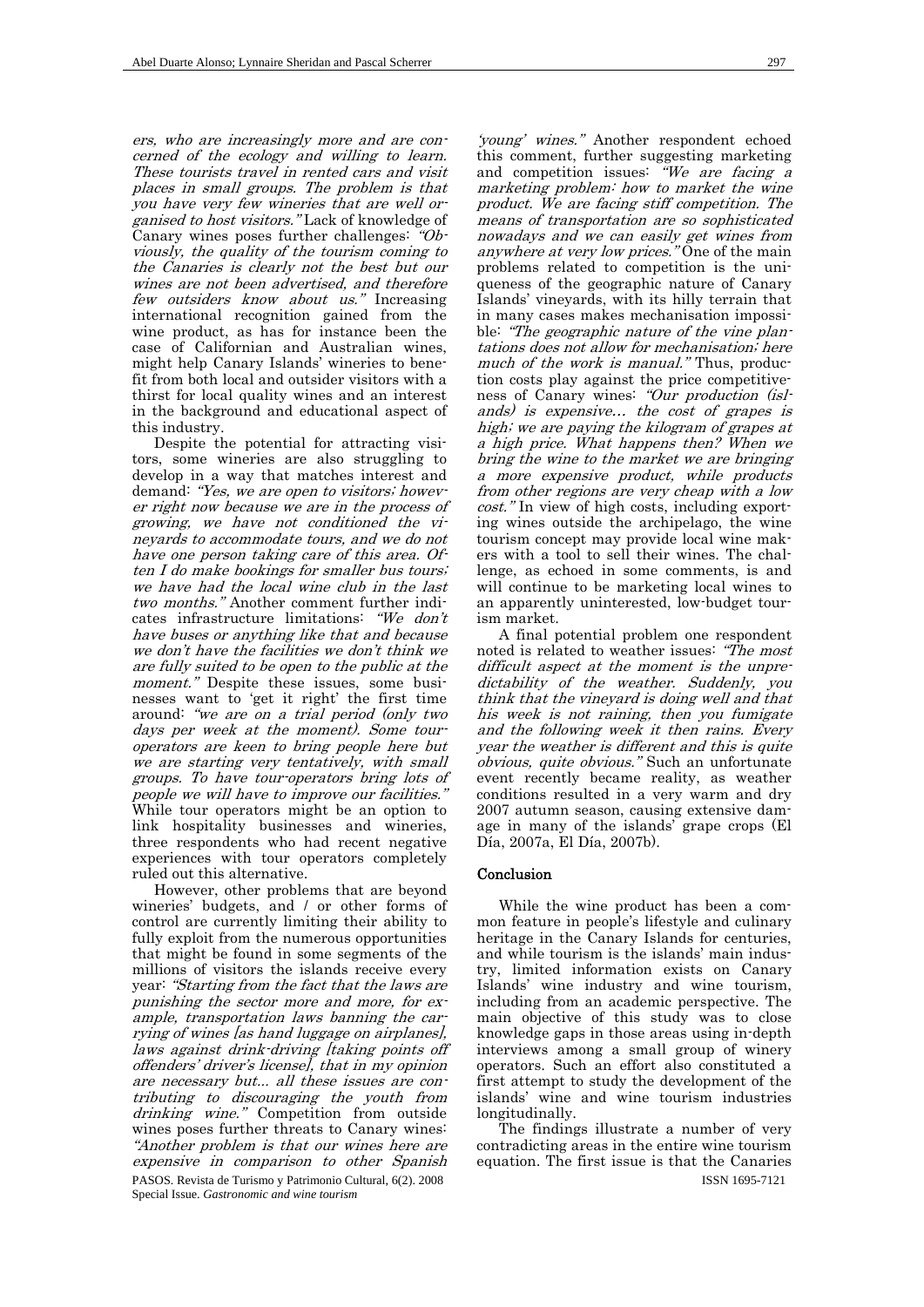ers, who are increasingly more and are concerned of the ecology and willing to learn. These tourists travel in rented cars and visit places in small groups. The problem is that you have very few wineries that are well organised to host visitors." Lack of knowledge of Canary wines poses further challenges: "Obviously, the quality of the tourism coming to the Canaries is clearly not the best but our wines are not been advertised, and therefore few outsiders know about us." Increasing international recognition gained from the wine product, as has for instance been the case of Californian and Australian wines, might help Canary Islands' wineries to benefit from both local and outsider visitors with a thirst for local quality wines and an interest in the background and educational aspect of this industry.

Despite the potential for attracting visitors, some wineries are also struggling to develop in a way that matches interest and demand: "Yes, we are open to visitors; however right now because we are in the process of growing, we have not conditioned the vineyards to accommodate tours, and we do not have one person taking care of this area. Often I do make bookings for smaller bus tours; we have had the local wine club in the last two months." Another comment further indicates infrastructure limitations: "We don't have buses or anything like that and because we don't have the facilities we don't think we are fully suited to be open to the public at the moment." Despite these issues, some businesses want to 'get it right' the first time around: "we are on a trial period (only two days per week at the moment). Some touroperators are keen to bring people here but we are starting very tentatively, with small groups. To have tour-operators bring lots of people we will have to improve our facilities." While tour operators might be an option to link hospitality businesses and wineries, three respondents who had recent negative experiences with tour operators completely ruled out this alternative.

PASOS. Revista de Turismo y Patrimonio Cultural, 6(2). 2008 Special Issue. *Gastronomic and wine tourism* However, other problems that are beyond wineries' budgets, and / or other forms of control are currently limiting their ability to fully exploit from the numerous opportunities that might be found in some segments of the millions of visitors the islands receive every year: "Starting from the fact that the laws are punishing the sector more and more, for example, transportation laws banning the carrying of wines [as hand luggage on airplanes], laws against drink-driving *[taking points off* offenders' driver's license], that in my opinion are necessary but... all these issues are contributing to discouraging the youth from drinking wine." Competition from outside wines poses further threats to Canary wines: "Another problem is that our wines here are expensive in comparison to other Spanish

'young' wines." Another respondent echoed this comment, further suggesting marketing and competition issues:  $W_e$  are facing a marketing problem: how to market the wine product. We are facing stiff competition. The means of transportation are so sophisticated nowadays and we can easily get wines from anywhere at very low prices." One of the main problems related to competition is the uniqueness of the geographic nature of Canary Islands' vineyards, with its hilly terrain that in many cases makes mechanisation impossible: "The geographic nature of the vine plantations does not allow for mechanisation; here much of the work is manual." Thus, production costs play against the price competitiveness of Canary wines: "Our production (islands) is expensive… the cost of grapes is high; we are paying the kilogram of grapes at a high price. What happens then? When we bring the wine to the market we are bringing a more expensive product, while products from other regions are very cheap with a low cost." In view of high costs, including exporting wines outside the archipelago, the wine tourism concept may provide local wine makers with a tool to sell their wines. The challenge, as echoed in some comments, is and will continue to be marketing local wines to an apparently uninterested, low-budget tourism market.

A final potential problem one respondent noted is related to weather issues: "The most difficult aspect at the moment is the unpredictability of the weather. Suddenly, you think that the vineyard is doing well and that his week is not raining, then you fumigate and the following week it then rains. Every year the weather is different and this is quite obvious, quite obvious." Such an unfortunate event recently became reality, as weather conditions resulted in a very warm and dry 2007 autumn season, causing extensive damage in many of the islands' grape crops (El Día, 2007a, El Día, 2007b).

#### Conclusion

While the wine product has been a common feature in people's lifestyle and culinary heritage in the Canary Islands for centuries, and while tourism is the islands' main industry, limited information exists on Canary Islands' wine industry and wine tourism, including from an academic perspective. The main objective of this study was to close knowledge gaps in those areas using in-depth interviews among a small group of winery operators. Such an effort also constituted a first attempt to study the development of the islands' wine and wine tourism industries longitudinally.

The findings illustrate a number of very contradicting areas in the entire wine tourism equation. The first issue is that the Canaries

ISSN 1695-7121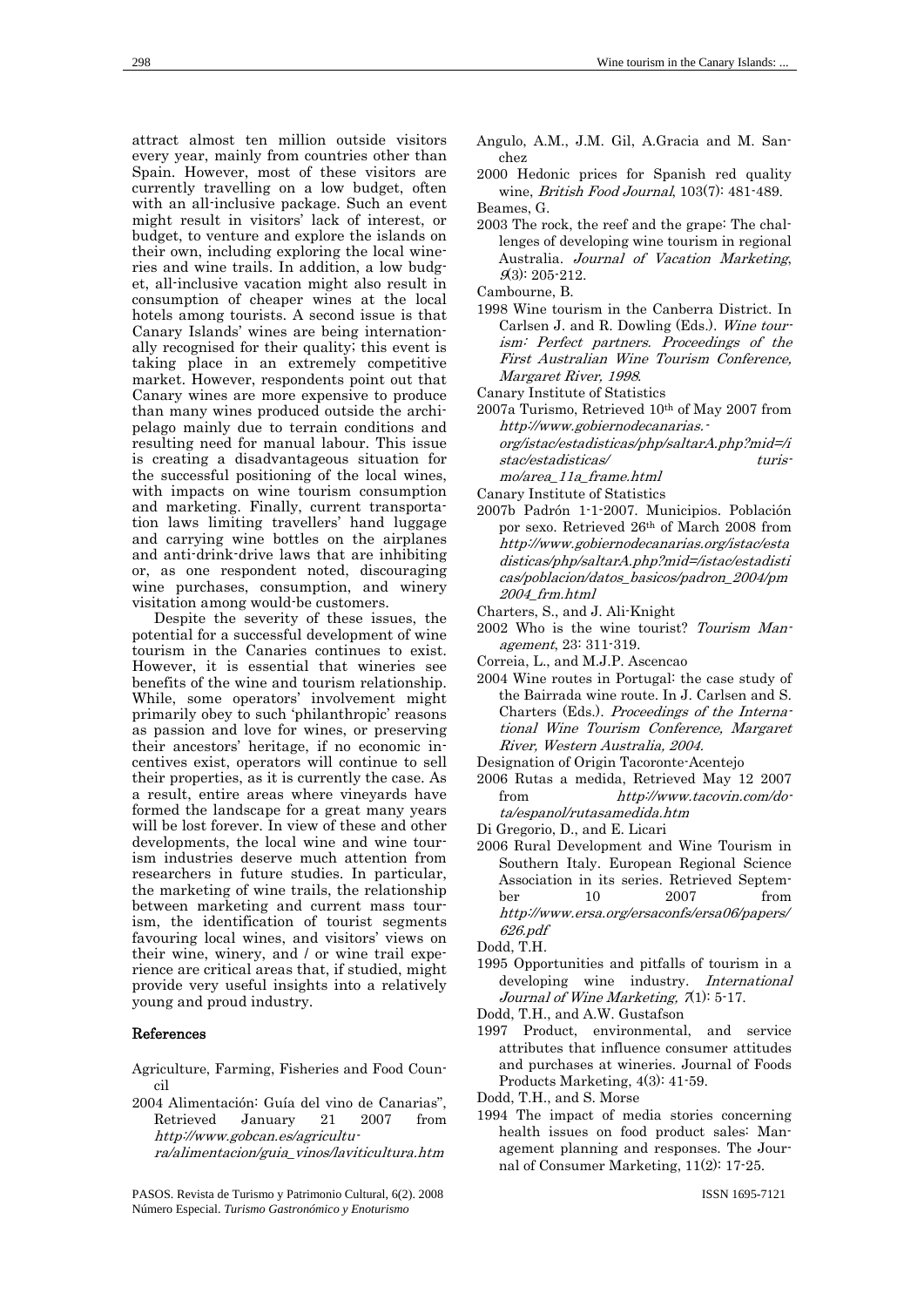attract almost ten million outside visitors every year, mainly from countries other than Spain. However, most of these visitors are currently travelling on a low budget, often with an all-inclusive package. Such an event might result in visitors' lack of interest, or budget, to venture and explore the islands on their own, including exploring the local wineries and wine trails. In addition, a low budget, all-inclusive vacation might also result in consumption of cheaper wines at the local hotels among tourists. A second issue is that Canary Islands' wines are being internationally recognised for their quality; this event is taking place in an extremely competitive market. However, respondents point out that Canary wines are more expensive to produce than many wines produced outside the archipelago mainly due to terrain conditions and resulting need for manual labour. This issue is creating a disadvantageous situation for the successful positioning of the local wines, with impacts on wine tourism consumption and marketing. Finally, current transportation laws limiting travellers' hand luggage and carrying wine bottles on the airplanes and anti-drink-drive laws that are inhibiting or, as one respondent noted, discouraging wine purchases, consumption, and winery visitation among would-be customers.

Despite the severity of these issues, the potential for a successful development of wine tourism in the Canaries continues to exist. However, it is essential that wineries see benefits of the wine and tourism relationship. While, some operators' involvement might primarily obey to such 'philanthropic' reasons as passion and love for wines, or preserving their ancestors' heritage, if no economic incentives exist, operators will continue to sell their properties, as it is currently the case. As a result, entire areas where vineyards have formed the landscape for a great many years will be lost forever. In view of these and other developments, the local wine and wine tourism industries deserve much attention from researchers in future studies. In particular, the marketing of wine trails, the relationship between marketing and current mass tourism, the identification of tourist segments favouring local wines, and visitors' views on their wine, winery, and / or wine trail experience are critical areas that, if studied, might provide very useful insights into a relatively young and proud industry.

#### References

Agriculture, Farming, Fisheries and Food Council

- 2004 Alimentación: Guía del vino de Canarias", Retrieved January 21 2007 from http://www.gobcan.es/agricultura/alimentacion/guia\_vinos/laviticultura.htm
- PASOS. Revista de Turismo y Patrimonio Cultural, 6(2). 2008 Número Especial. *Turismo Gastronómico y Enoturismo*

Angulo, A.M., J.M. Gil, A.Gracia and M. Sanchez

2000 Hedonic prices for Spanish red quality wine, British Food Journal, 103(7): 481-489. Beames, G.

- 2003 The rock, the reef and the grape: The challenges of developing wine tourism in regional Australia. Journal of Vacation Marketing,  $9(3): 205 - 212.$
- Cambourne, B.
- 1998 Wine tourism in the Canberra District. In Carlsen J. and R. Dowling (Eds.). Wine tourism: Perfect partners. Proceedings of the First Australian Wine Tourism Conference, Margaret River, 1998.
- Canary Institute of Statistics
- 2007a Turismo, Retrieved 10th of May 2007 from http://www.gobiernodecanarias. org/istac/estadisticas/php/saltarA.php?mid=/i stac/estadisticas/ turis
	- mo/area\_11a\_frame.html
- Canary Institute of Statistics
- 2007b Padrón 1-1-2007. Municipios. Población por sexo. Retrieved 26th of March 2008 from http://www.gobiernodecanarias.org/istac/esta disticas/php/saltarA.php?mid=/istac/estadisti cas/poblacion/datos\_basicos/padron\_2004/pm 2004\_frm.html
- Charters, S., and J. Ali-Knight
- 2002 Who is the wine tourist? Tourism Management, 23: 311-319.
- Correia, L., and M.J.P. Ascencao
- 2004 Wine routes in Portugal: the case study of the Bairrada wine route. In J. Carlsen and S. Charters (Eds.). Proceedings of the International Wine Tourism Conference, Margaret River, Western Australia, 2004.
- Designation of Origin Tacoronte-Acentejo
- 2006 Rutas a medida, Retrieved May 12 2007 from http://www.tacovin.com/dota/espanol/rutasamedida.htm
- Di Gregorio, D., and E. Licari
- 2006 Rural Development and Wine Tourism in Southern Italy. European Regional Science Association in its series. Retrieved September 10 2007 from http://www.ersa.org/ersaconfs/ersa06/papers/ 626.pdf

Dodd, T.H.

- 1995 Opportunities and pitfalls of tourism in a developing wine industry. International Journal of Wine Marketing,  $7(1)$ : 5-17.
- Dodd, T.H., and A.W. Gustafson
- 1997 Product, environmental, and service attributes that influence consumer attitudes and purchases at wineries. Journal of Foods Products Marketing, 4(3): 41-59.
- Dodd, T.H., and S. Morse
- 1994 The impact of media stories concerning health issues on food product sales: Management planning and responses. The Journal of Consumer Marketing, 11(2): 17-25.

ISSN 1695-7121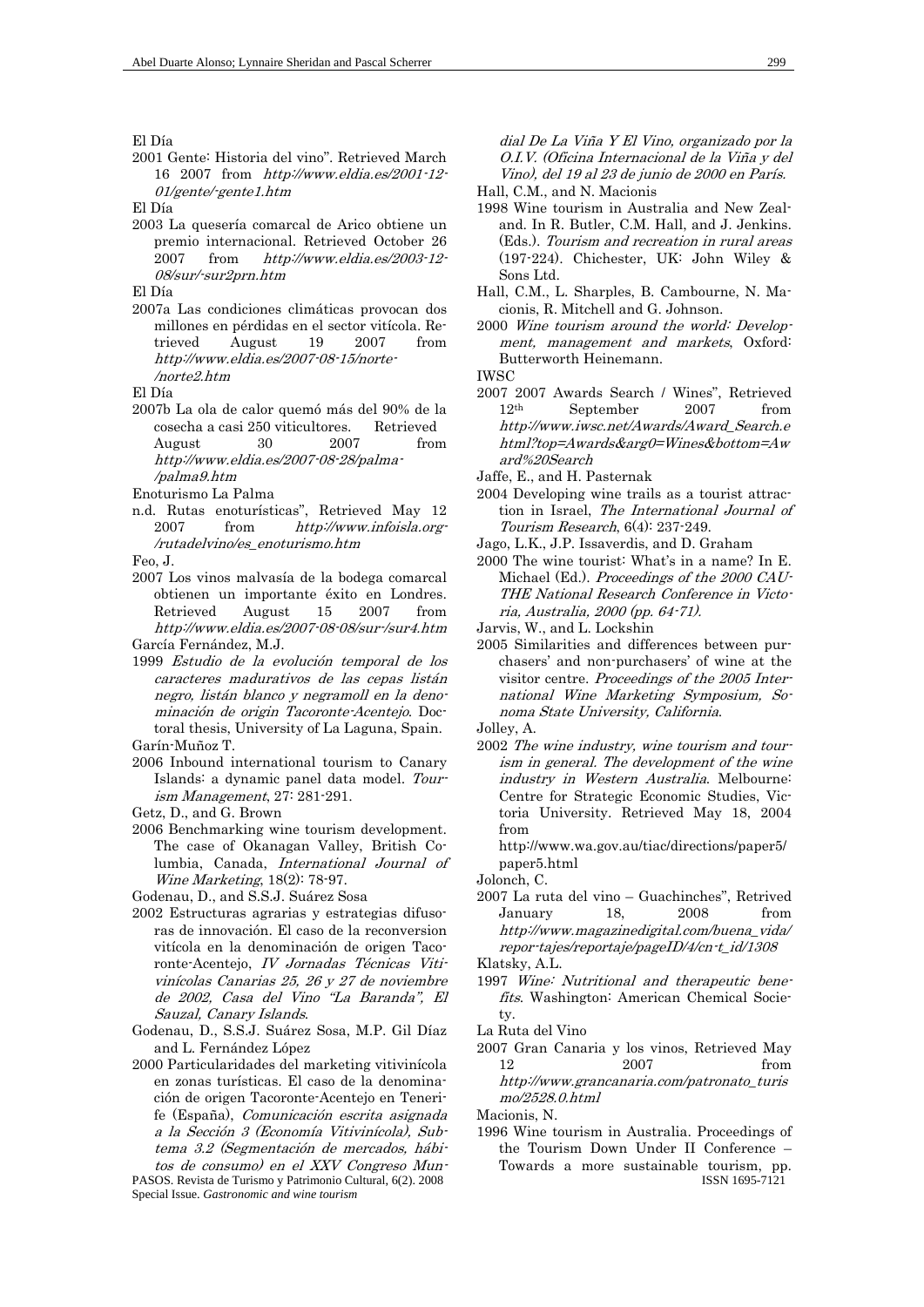El Día

2001 Gente: Historia del vino". Retrieved March 16 2007 from http://www.eldia.es/2001-12- 01/gente/-gente1.htm

El Día

2003 La quesería comarcal de Arico obtiene un premio internacional. Retrieved October 26 2007 from http://www.eldia.es/2003-12- 08/sur/-sur2prn.htm

El Día

2007a Las condiciones climáticas provocan dos millones en pérdidas en el sector vitícola. Retrieved August 19 2007 from http://www.eldia.es/2007-08-15/norte- /norte2.htm

El Día

2007b La ola de calor quemó más del 90% de la cosecha a casi 250 viticultores. Retrieved August 30 2007 from http://www.eldia.es/2007-08-28/palma- /palma9.htm

Enoturismo La Palma

n.d. Rutas enoturísticas", Retrieved May 12 2007 from http://www.infoisla.org- /rutadelvino/es\_enoturismo.htm

Feo, J.

- 2007 Los vinos malvasía de la bodega comarcal obtienen un importante éxito en Londres. Retrieved August 15 2007 from http://www.eldia.es/2007-08-08/sur-/sur4.htm García Fernández, M.J.
- 1999 Estudio de la evolución temporal de los caracteres madurativos de las cepas listán negro, listán blanco y negramoll en la denominación de origin Tacoronte-Acentejo. Doctoral thesis, University of La Laguna, Spain. Garín-Muñoz T.
- 2006 Inbound international tourism to Canary Islands: a dynamic panel data model. Tourism Management, 27: 281-291.
- Getz, D., and G. Brown
- 2006 Benchmarking wine tourism development. The case of Okanagan Valley, British Columbia, Canada, International Journal of Wine Marketing, 18(2): 78-97.

Godenau, D., and S.S.J. Suárez Sosa

2002 Estructuras agrarias y estrategias difusoras de innovación. El caso de la reconversion vitícola en la denominación de origen Tacoronte-Acentejo, IV Jornadas Técnicas Vitivinícolas Canarias 25, 26 y 27 de noviembre de 2002, Casa del Vino "La Baranda", El Sauzal, Canary Islands.

Godenau, D., S.S.J. Suárez Sosa, M.P. Gil Díaz and L. Fernández López

2000 Particularidades del marketing vitivinícola en zonas turísticas. El caso de la denominación de origen Tacoronte-Acentejo en Tenerife (España), Comunicación escrita asignada a la Sección 3 (Economía Vitivinícola), Subtema 3.2 (Segmentación de mercados, hábitos de consumo) en el XXV Congreso Mun-

PASOS. Revista de Turismo y Patrimonio Cultural, 6(2). 2008 Special Issue. *Gastronomic and wine tourism*

dial De La Viña Y El Vino, organizado por la O.I.V. (Oficina Internacional de la Viña y del Vino), del 19 al 23 de junio de 2000 en París.

Hall, C.M., and N. Macionis

- 1998 Wine tourism in Australia and New Zealand. In R. Butler, C.M. Hall, and J. Jenkins. (Eds.). Tourism and recreation in rural areas (197-224). Chichester, UK: John Wiley & Sons Ltd.
- Hall, C.M., L. Sharples, B. Cambourne, N. Macionis, R. Mitchell and G. Johnson.
- 2000 Wine tourism around the world: Development, management and markets, Oxford: Butterworth Heinemann.

IWSC

2007 2007 Awards Search / Wines", Retrieved 12th September 2007 from http://www.iwsc.net/Awards/Award\_Search.e html?top=Awards&arg0=Wines&bottom=Aw ard%20Search

Jaffe, E., and H. Pasternak

- 2004 Developing wine trails as a tourist attraction in Israel, The International Journal of Tourism Research, 6(4): 237-249.
- Jago, L.K., J.P. Issaverdis, and D. Graham
- 2000 The wine tourist: What's in a name? In E. Michael (Ed.). Proceedings of the 2000 CAU-THE National Research Conference in Victoria, Australia, 2000 (pp. 64-71).

Jarvis, W., and L. Lockshin

2005 Similarities and differences between purchasers' and non-purchasers' of wine at the visitor centre. Proceedings of the 2005 International Wine Marketing Symposium, Sonoma State University, California.

Jolley, A.

2002 The wine industry, wine tourism and tourism in general. The development of the wine industry in Western Australia. Melbourne: Centre for Strategic Economic Studies, Victoria University. Retrieved May 18, 2004 from

http://www.wa.gov.au/tiac/directions/paper5/ paper5.html

Jolonch, C.

2007 La ruta del vino – Guachinches", Retrived January 18, 2008 from http://www.magazinedigital.com/buena\_vida/ repor-tajes/reportaje/pageID/4/cn-t\_id/1308

Klatsky, A.L.

1997 Wine: Nutritional and therapeutic benefits. Washington: American Chemical Society.

La Ruta del Vino

2007 Gran Canaria y los vinos, Retrieved May 12 2007 from http://www.grancanaria.com/patronato\_turis mo/2528.0.html

Macionis, N.

ISSN 1695-7121 1996 Wine tourism in Australia. Proceedings of the Tourism Down Under II Conference – Towards a more sustainable tourism, pp.